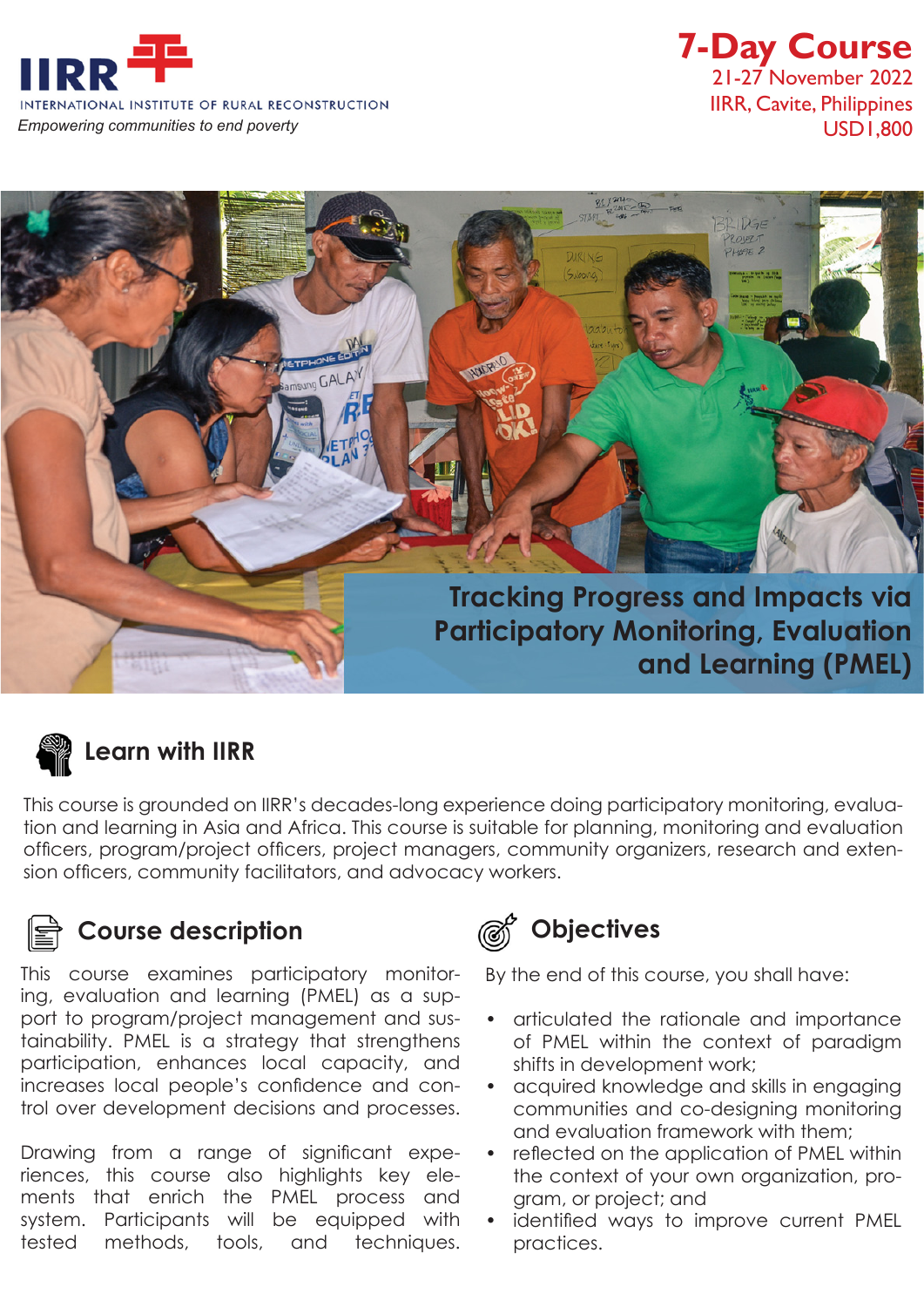

## **7-Day Course** 21-27 November 2022 IIRR, Cavite, Philippines





### **Learn with IIRR**

This course is grounded on IIRR's decades-long experience doing participatory monitoring, evaluation and learning in Asia and Africa. This course is suitable for planning, monitoring and evaluation officers, program/project officers, project managers, community organizers, research and extension officers, community facilitators, and advocacy workers.

#### **Course description Objectives**

This course examines participatory monitoring, evaluation and learning (PMEL) as a support to program/project management and sustainability. PMEL is a strategy that strengthens participation, enhances local capacity, and increases local people's confidence and control over development decisions and processes.

Drawing from a range of significant experiences, this course also highlights key elements that enrich the PMEL process and system. Participants will be equipped with tested methods, tools, and techniques.



By the end of this course, you shall have:

- articulated the rationale and importance of PMEL within the context of paradigm shifts in development work;
- acquired knowledge and skills in engaging communities and co-designing monitoring and evaluation framework with them;
- reflected on the application of PMEL within the context of your own organization, program, or project; and
- identified ways to improve current PMEL practices.